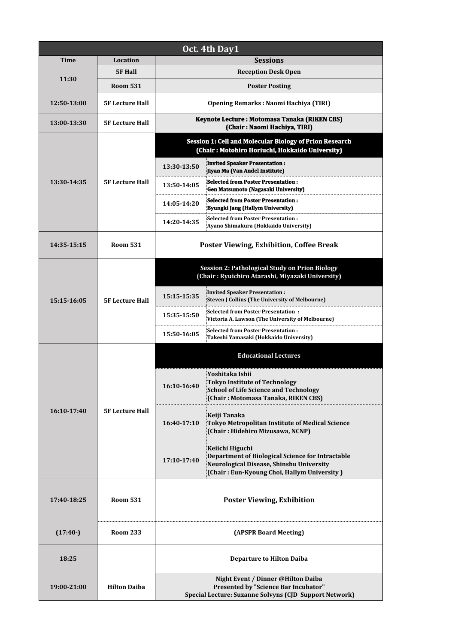| Oct. 4th Day1 |                        |                                                                                                                                      |                                                                                                                                                                |  |  |
|---------------|------------------------|--------------------------------------------------------------------------------------------------------------------------------------|----------------------------------------------------------------------------------------------------------------------------------------------------------------|--|--|
| Time          | <b>Location</b>        |                                                                                                                                      | <b>Sessions</b>                                                                                                                                                |  |  |
| 11:30         | <b>5F Hall</b>         | <b>Reception Desk Open</b>                                                                                                           |                                                                                                                                                                |  |  |
|               | <b>Room 531</b>        | <b>Poster Posting</b>                                                                                                                |                                                                                                                                                                |  |  |
| 12:50-13:00   | <b>5F Lecture Hall</b> | <b>Opening Remarks: Naomi Hachiya (TIRI)</b>                                                                                         |                                                                                                                                                                |  |  |
| 13:00-13:30   | <b>5F Lecture Hall</b> | Keynote Lecture: Motomasa Tanaka (RIKEN CBS)<br>(Chair: Naomi Hachiya, TIRI)                                                         |                                                                                                                                                                |  |  |
| 13:30-14:35   | <b>5F Lecture Hall</b> | Session 1: Cell and Molecular Biology of Prion Research<br>(Chair: Motohiro Horiuchi, Hokkaido University)                           |                                                                                                                                                                |  |  |
|               |                        | 13:30-13:50                                                                                                                          | Invited Speaker Presentation:<br><b>Jivan Ma (Van Andel Institute)</b>                                                                                         |  |  |
|               |                        | 13:50-14:05                                                                                                                          | <b>Selected from Poster Presentation:</b><br>Gen Matsumoto (Nagasaki University)                                                                               |  |  |
|               |                        | 14:05-14:20                                                                                                                          | <b>Selected from Poster Presentation:</b><br>Byungki Jang (Hallym University)                                                                                  |  |  |
|               |                        | 14:20-14:35                                                                                                                          | <b>Selected from Poster Presentation:</b><br>Ayano Shimakura (Hokkaido University)                                                                             |  |  |
| 14:35-15:15   | <b>Room 531</b>        | <b>Poster Viewing, Exhibition, Coffee Break</b>                                                                                      |                                                                                                                                                                |  |  |
| 15:15-16:05   | <b>5F Lecture Hall</b> | Session 2: Pathological Study on Prion Biology<br>(Chair: Ryuichiro Atarashi, Miyazaki University)                                   |                                                                                                                                                                |  |  |
|               |                        | 15:15-15:35                                                                                                                          | <b>Invited Speaker Presentation:</b><br><b>Steven J Collins (The University of Melbourne)</b>                                                                  |  |  |
|               |                        | 15:35-15:50                                                                                                                          | <b>Selected from Poster Presentation:</b><br>Victoria A. Lawson (The University of Melbourne)                                                                  |  |  |
|               |                        | 15:50-16:05                                                                                                                          | <b>Selected from Poster Presentation:</b><br>Takeshi Yamasaki (Hokkaido University)                                                                            |  |  |
| 16:10-17:40   | <b>5F Lecture Hall</b> |                                                                                                                                      | <b>Educational Lectures</b>                                                                                                                                    |  |  |
|               |                        | 16:10-16:40                                                                                                                          | Yoshitaka Ishii<br><b>Tokyo Institute of Technology</b><br><b>School of Life Science and Technology</b><br>(Chair: Motomasa Tanaka, RIKEN CBS)                 |  |  |
|               |                        | 16:40-17:10                                                                                                                          | Keiji Tanaka<br>Tokyo Metropolitan Institute of Medical Science<br>(Chair: Hidehiro Mizusawa, NCNP)                                                            |  |  |
|               |                        | 17:10-17:40                                                                                                                          | Keiichi Higuchi<br>Department of Biological Science for Intractable<br>Neurological Disease, Shinshu University<br>(Chair: Eun-Kyoung Choi, Hallym University) |  |  |
| 17:40-18:25   | <b>Room 531</b>        | <b>Poster Viewing, Exhibition</b>                                                                                                    |                                                                                                                                                                |  |  |
| $(17:40-)$    | <b>Room 233</b>        | (APSPR Board Meeting)                                                                                                                |                                                                                                                                                                |  |  |
| 18:25         |                        | <b>Departure to Hilton Daiba</b>                                                                                                     |                                                                                                                                                                |  |  |
| 19:00-21:00   | <b>Hilton Daiba</b>    | Night Event / Dinner @Hilton Daiba<br>Presented by "Science Bar Incubator"<br>Special Lecture: Suzanne Solvyns (CJD Support Network) |                                                                                                                                                                |  |  |